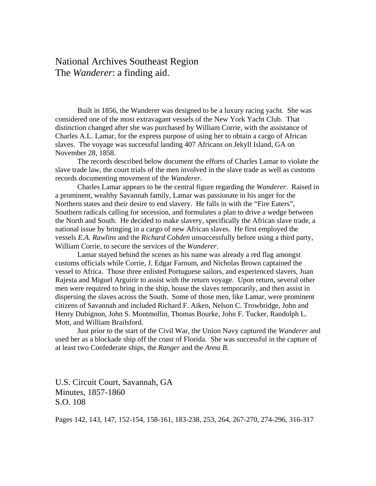## National Archives Southeast Region The *Wanderer*: a finding aid.

Built in 1856, the Wanderer was designed to be a luxury racing yacht. She was considered one of the most extravagant vessels of the New York Yacht Club. That distinction changed after she was purchased by William Corrie, with the assistance of Charles A.L. Lamar, for the express purpose of using her to obtain a cargo of African slaves. The voyage was successful landing 407 Africans on Jekyll Island, GA on November 28, 1858.

The records described below document the efforts of Charles Lamar to violate the slave trade law, the court trials of the men involved in the slave trade as well as customs records documenting movement of the *Wanderer.*

Charles Lamar appears to be the central figure regarding the *Wanderer*. Raised in a prominent, wealthy Savannah family, Lamar was passionate in his anger for the Northern states and their desire to end slavery. He falls in with the "Fire Eaters", Southern radicals calling for secession, and formulates a plan to drive a wedge between the North and South. He decided to make slavery, specifically the African slave trade, a national issue by bringing in a cargo of new African slaves. He first employed the vessels *E.A. Rawlins* and the *Richard Cobden* unsuccessfully before using a third party, William Corrie, to secure the services of the *Wanderer*.

Lamar stayed behind the scenes as his name was already a red flag amongst customs officials while Corrie, J. Edgar Farnum, and Nicholas Brown captained the vessel to Africa. Those three enlisted Portuguese sailors, and experienced slavers, Juan Rajesta and Miguel Arguirir to assist with the return voyage. Upon return, several other men were required to bring in the ship, house the slaves temporarily, and then assist in dispersing the slaves across the South. Some of those men, like Lamar, were prominent citizens of Savannah and included Richard F. Aiken, Nelson C. Trowbridge, John and Henry Dubignon, John S. Montmollin, Thomas Bourke, John F. Tucker, Randolph L. Mott, and William Brailsford.

Just prior to the start of the Civil War, the Union Navy captured the *Wanderer* and used her as a blockade ship off the coast of Florida. She was successful in the capture of at least two Confederate ships, the *Ranger* and the *Anna B*.

U.S. Circuit Court, Savannah, GA Minutes, 1857-1860 S.O. 108

Pages 142, 143, 147, 152-154, 158-161, 183-238, 253, 264, 267-270, 274-296, 316-317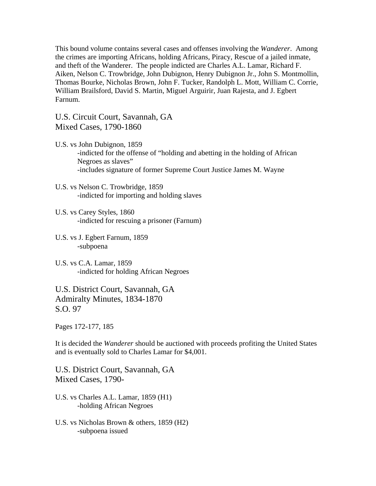This bound volume contains several cases and offenses involving the *Wanderer*. Among the crimes are importing Africans, holding Africans, Piracy, Rescue of a jailed inmate, and theft of the Wanderer. The people indicted are Charles A.L. Lamar, Richard F. Aiken, Nelson C. Trowbridge, John Dubignon, Henry Dubignon Jr., John S. Montmollin, Thomas Bourke, Nicholas Brown, John F. Tucker, Randolph L. Mott, William C. Corrie, William Brailsford, David S. Martin, Miguel Arguirir, Juan Rajesta, and J. Egbert Farnum.

U.S. Circuit Court, Savannah, GA Mixed Cases, 1790-1860

- U.S. vs John Dubignon, 1859 -indicted for the offense of "holding and abetting in the holding of African Negroes as slaves" -includes signature of former Supreme Court Justice James M. Wayne
- U.S. vs Nelson C. Trowbridge, 1859 -indicted for importing and holding slaves
- U.S. vs Carey Styles, 1860 -indicted for rescuing a prisoner (Farnum)
- U.S. vs J. Egbert Farnum, 1859 -subpoena
- U.S. vs C.A. Lamar, 1859 -indicted for holding African Negroes

U.S. District Court, Savannah, GA Admiralty Minutes, 1834-1870 S.O. 97

Pages 172-177, 185

It is decided the *Wanderer* should be auctioned with proceeds profiting the United States and is eventually sold to Charles Lamar for \$4,001.

U.S. District Court, Savannah, GA Mixed Cases, 1790-

- U.S. vs Charles A.L. Lamar, 1859 (H1) -holding African Negroes
- U.S. vs Nicholas Brown & others, 1859 (H2) -subpoena issued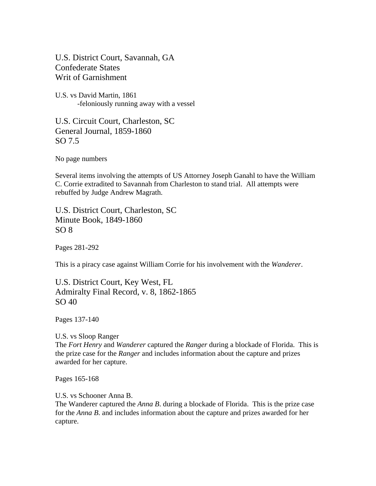U.S. District Court, Savannah, GA Confederate States Writ of Garnishment

U.S. vs David Martin, 1861 -feloniously running away with a vessel

U.S. Circuit Court, Charleston, SC General Journal, 1859-1860 SO 7.5

No page numbers

Several items involving the attempts of US Attorney Joseph Ganahl to have the William C. Corrie extradited to Savannah from Charleston to stand trial. All attempts were rebuffed by Judge Andrew Magrath.

U.S. District Court, Charleston, SC Minute Book, 1849-1860  $SO 8$ 

Pages 281-292

This is a piracy case against William Corrie for his involvement with the *Wanderer*.

U.S. District Court, Key West, FL Admiralty Final Record, v. 8, 1862-1865 SO 40

Pages 137-140

U.S. vs Sloop Ranger The *Fort Henry* and *Wanderer* captured the *Ranger* during a blockade of Florida. This is the prize case for the *Ranger* and includes information about the capture and prizes awarded for her capture.

Pages 165-168

U.S. vs Schooner Anna B.

The Wanderer captured the *Anna B*. during a blockade of Florida. This is the prize case for the *Anna B*. and includes information about the capture and prizes awarded for her capture.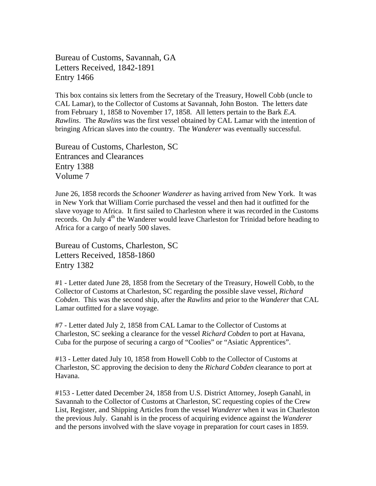Bureau of Customs, Savannah, GA Letters Received, 1842-1891 Entry 1466

This box contains six letters from the Secretary of the Treasury, Howell Cobb (uncle to CAL Lamar), to the Collector of Customs at Savannah, John Boston. The letters date from February 1, 1858 to November 17, 1858. All letters pertain to the Bark *E.A. Rawlins*. The *Rawlins* was the first vessel obtained by CAL Lamar with the intention of bringing African slaves into the country. The *Wanderer* was eventually successful.

Bureau of Customs, Charleston, SC Entrances and Clearances Entry 1388 Volume 7

June 26, 1858 records the *Schooner Wanderer* as having arrived from New York. It was in New York that William Corrie purchased the vessel and then had it outfitted for the slave voyage to Africa. It first sailed to Charleston where it was recorded in the Customs records. On July 4<sup>th</sup> the Wanderer would leave Charleston for Trinidad before heading to Africa for a cargo of nearly 500 slaves.

Bureau of Customs, Charleston, SC Letters Received, 1858-1860 Entry 1382

#1 - Letter dated June 28, 1858 from the Secretary of the Treasury, Howell Cobb, to the Collector of Customs at Charleston, SC regarding the possible slave vessel, *Richard Cobden*. This was the second ship, after the *Rawlins* and prior to the *Wanderer* that CAL Lamar outfitted for a slave voyage.

#7 - Letter dated July 2, 1858 from CAL Lamar to the Collector of Customs at Charleston, SC seeking a clearance for the vessel *Richard Cobden* to port at Havana, Cuba for the purpose of securing a cargo of "Coolies" or "Asiatic Apprentices".

#13 - Letter dated July 10, 1858 from Howell Cobb to the Collector of Customs at Charleston, SC approving the decision to deny the *Richard Cobden* clearance to port at Havana.

#153 - Letter dated December 24, 1858 from U.S. District Attorney, Joseph Ganahl, in Savannah to the Collector of Customs at Charleston, SC requesting copies of the Crew List, Register, and Shipping Articles from the vessel *Wanderer* when it was in Charleston the previous July. Ganahl is in the process of acquiring evidence against the *Wanderer* and the persons involved with the slave voyage in preparation for court cases in 1859.